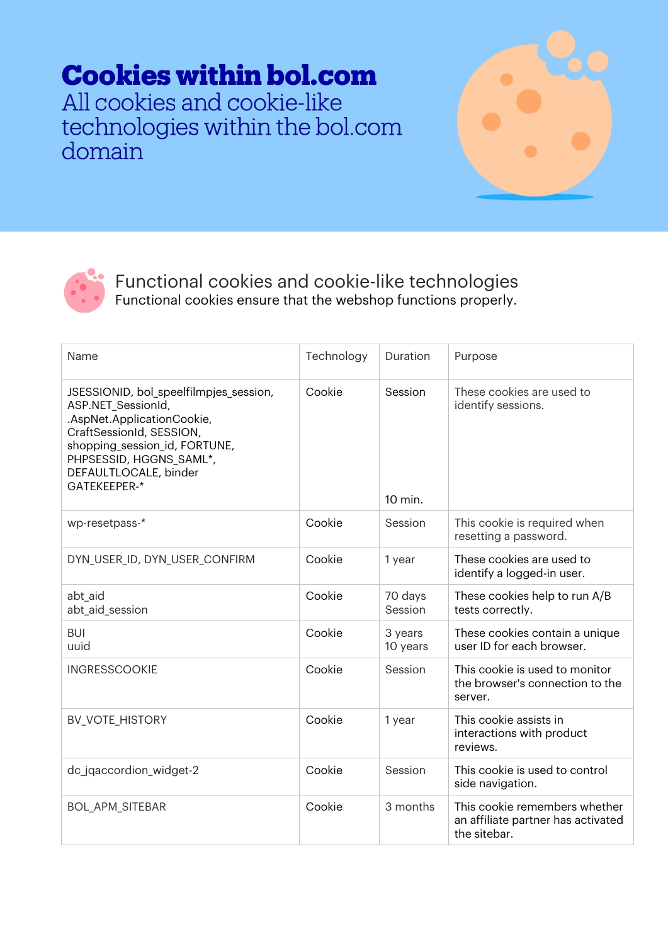## **Cookies within bol.com**

All cookies and cookie-like technologies within the bol.com domain





Functional cookies and cookie-like technologies Functional cookies ensure that the webshop functions properly.

| Name                                                                                                                                                                                                                        | Technology | Duration            | Purpose                                                                             |
|-----------------------------------------------------------------------------------------------------------------------------------------------------------------------------------------------------------------------------|------------|---------------------|-------------------------------------------------------------------------------------|
| JSESSIONID, bol_speelfilmpjes_session,<br>ASP.NET_SessionId,<br>.AspNet.ApplicationCookie,<br>CraftSessionId, SESSION,<br>shopping_session_id, FORTUNE,<br>PHPSESSID, HGGNS_SAML*,<br>DEFAULTLOCALE, binder<br>GATEKEEPER-* | Cookie     | Session<br>10 min.  | These cookies are used to<br>identify sessions.                                     |
| wp-resetpass-*                                                                                                                                                                                                              | Cookie     | Session             | This cookie is required when<br>resetting a password.                               |
| DYN_USER_ID, DYN_USER_CONFIRM                                                                                                                                                                                               | Cookie     | 1 year              | These cookies are used to<br>identify a logged-in user.                             |
| abt aid<br>abt_aid_session                                                                                                                                                                                                  | Cookie     | 70 days<br>Session  | These cookies help to run A/B<br>tests correctly.                                   |
| <b>BUI</b><br>uuid                                                                                                                                                                                                          | Cookie     | 3 years<br>10 years | These cookies contain a unique<br>user ID for each browser.                         |
| <b>INGRESSCOOKIE</b>                                                                                                                                                                                                        | Cookie     | Session             | This cookie is used to monitor<br>the browser's connection to the<br>server.        |
| <b>BV_VOTE_HISTORY</b>                                                                                                                                                                                                      | Cookie     | 1 year              | This cookie assists in<br>interactions with product<br>reviews.                     |
| dc_jqaccordion_widget-2                                                                                                                                                                                                     | Cookie     | Session             | This cookie is used to control<br>side navigation.                                  |
| <b>BOL_APM_SITEBAR</b>                                                                                                                                                                                                      | Cookie     | 3 months            | This cookie remembers whether<br>an affiliate partner has activated<br>the sitebar. |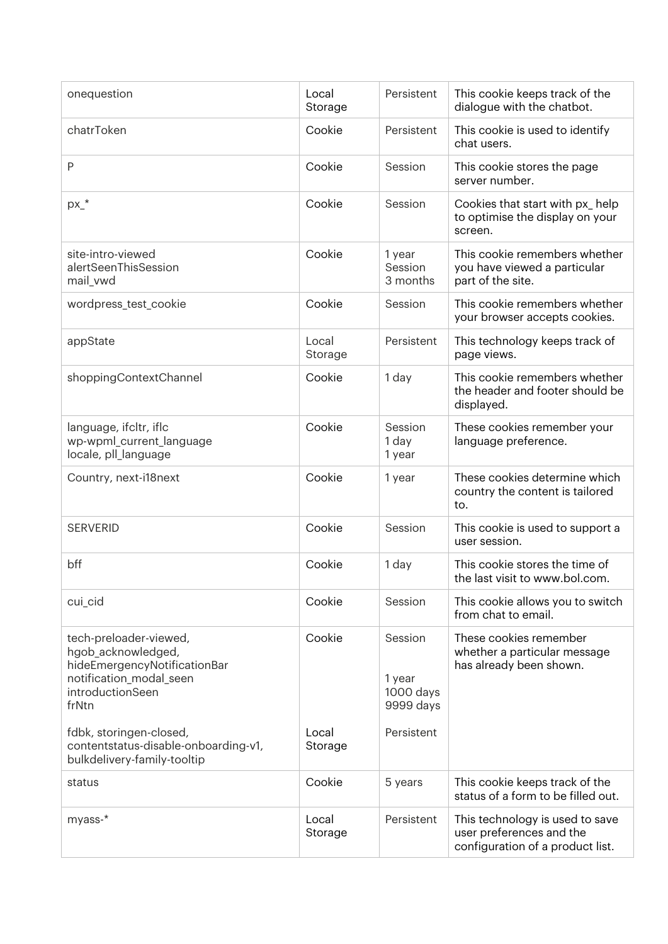| onequestion                                                                                                                          | Local<br>Storage | Persistent                                  | This cookie keeps track of the<br>dialogue with the chatbot.                                    |
|--------------------------------------------------------------------------------------------------------------------------------------|------------------|---------------------------------------------|-------------------------------------------------------------------------------------------------|
| chatrToken                                                                                                                           | Cookie           | Persistent                                  | This cookie is used to identify<br>chat users.                                                  |
| $\mathsf{P}$                                                                                                                         | Cookie           | Session                                     | This cookie stores the page<br>server number.                                                   |
| $px_+$                                                                                                                               | Cookie           | Session                                     | Cookies that start with px_help<br>to optimise the display on your<br>screen.                   |
| site-intro-viewed<br>alertSeenThisSession<br>mail_vwd                                                                                | Cookie           | 1 year<br>Session<br>3 months               | This cookie remembers whether<br>you have viewed a particular<br>part of the site.              |
| wordpress_test_cookie                                                                                                                | Cookie           | Session                                     | This cookie remembers whether<br>your browser accepts cookies.                                  |
| appState                                                                                                                             | Local<br>Storage | Persistent                                  | This technology keeps track of<br>page views.                                                   |
| shoppingContextChannel                                                                                                               | Cookie           | 1 day                                       | This cookie remembers whether<br>the header and footer should be<br>displayed.                  |
| language, ifcltr, iflc<br>wp-wpml_current_language<br>locale, pll_language                                                           | Cookie           | Session<br>1 day<br>1 year                  | These cookies remember your<br>language preference.                                             |
| Country, next-i18next                                                                                                                | Cookie           | 1 year                                      | These cookies determine which<br>country the content is tailored<br>to.                         |
| <b>SERVERID</b>                                                                                                                      | Cookie           | Session                                     | This cookie is used to support a<br>user session.                                               |
| bff                                                                                                                                  | Cookie           | 1 day                                       | This cookie stores the time of<br>the last visit to www.bol.com.                                |
| cui_cid                                                                                                                              | Cookie           | Session                                     | This cookie allows you to switch<br>from chat to email.                                         |
| tech-preloader-viewed,<br>hgob_acknowledged,<br>hideEmergencyNotificationBar<br>notification_modal_seen<br>introductionSeen<br>frNtn | Cookie           | Session<br>1 year<br>1000 days<br>9999 days | These cookies remember<br>whether a particular message<br>has already been shown.               |
| fdbk, storingen-closed,<br>contentstatus-disable-onboarding-v1,<br>bulkdelivery-family-tooltip                                       | Local<br>Storage | Persistent                                  |                                                                                                 |
| status                                                                                                                               | Cookie           | 5 years                                     | This cookie keeps track of the<br>status of a form to be filled out.                            |
| myass-*                                                                                                                              | Local<br>Storage | Persistent                                  | This technology is used to save<br>user preferences and the<br>configuration of a product list. |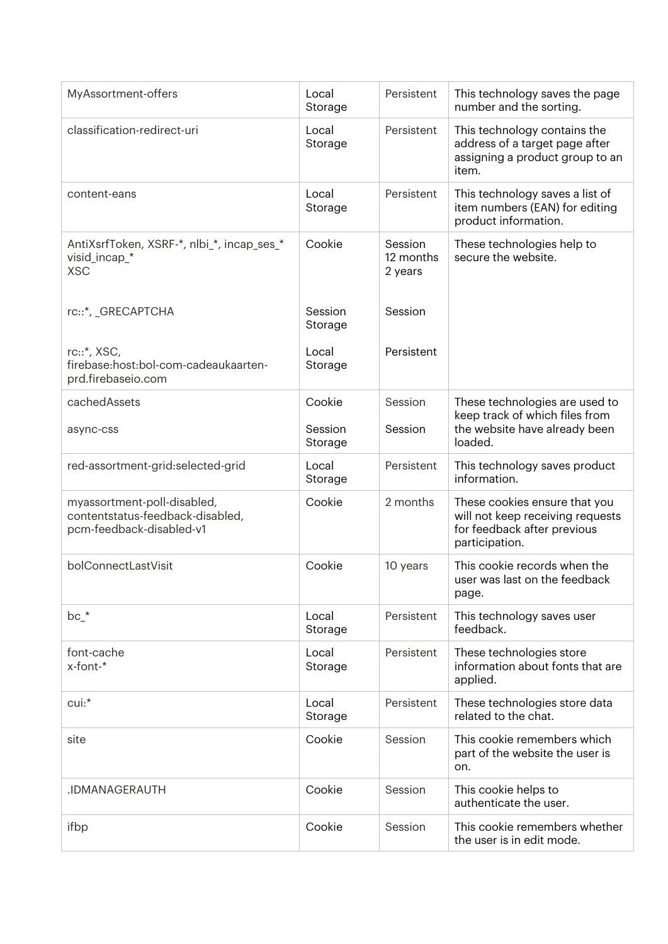| MyAssortment-offers                                                                         | Local<br>Storage   | Persistent                      | This technology saves the page<br>number and the sorting.                                                          |
|---------------------------------------------------------------------------------------------|--------------------|---------------------------------|--------------------------------------------------------------------------------------------------------------------|
| classification-redirect-uri                                                                 | Local<br>Storage   | Persistent                      | This technology contains the<br>address of a target page after<br>assigning a product group to an<br>item.         |
| content-eans                                                                                | Local<br>Storage   | Persistent                      | This technology saves a list of<br>item numbers (EAN) for editing<br>product information.                          |
| AntiXsrfToken, XSRF-*, nlbi_*, incap_ses_*<br>visid_incap_*<br><b>XSC</b>                   | Cookie             | Session<br>12 months<br>2 years | These technologies help to<br>secure the website.                                                                  |
| rc::*, _GRECAPTCHA                                                                          | Session<br>Storage | Session                         |                                                                                                                    |
| rc::*, XSC,<br>firebase:host:bol-com-cadeaukaarten-<br>prd.firebaseio.com                   | Local<br>Storage   | Persistent                      |                                                                                                                    |
| cachedAssets                                                                                | Cookie             | Session                         | These technologies are used to<br>keep track of which files from                                                   |
| async-css                                                                                   | Session<br>Storage | Session                         | the website have already been<br>loaded.                                                                           |
| red-assortment-grid:selected-grid                                                           | Local<br>Storage   | Persistent                      | This technology saves product<br>information.                                                                      |
| myassortment-poll-disabled,<br>contentstatus-feedback-disabled,<br>pcm-feedback-disabled-v1 | Cookie             | 2 months                        | These cookies ensure that you<br>will not keep receiving requests<br>for feedback after previous<br>participation. |
| bolConnectLastVisit                                                                         | Cookie             | 10 years                        | This cookie records when the<br>user was last on the feedback<br>page.                                             |
| $bc_$ *                                                                                     | Local<br>Storage   | Persistent                      | This technology saves user<br>feedback.                                                                            |
| font-cache<br>x-font-*                                                                      | Local<br>Storage   | Persistent                      | These technologies store<br>information about fonts that are<br>applied.                                           |
| cui:*                                                                                       | Local<br>Storage   | Persistent                      | These technologies store data<br>related to the chat.                                                              |
| site                                                                                        | Cookie             | Session                         | This cookie remembers which<br>part of the website the user is<br>on.                                              |
| .IDMANAGERAUTH                                                                              | Cookie             | Session                         | This cookie helps to<br>authenticate the user.                                                                     |
| ifbp                                                                                        | Cookie             | Session                         | This cookie remembers whether<br>the user is in edit mode.                                                         |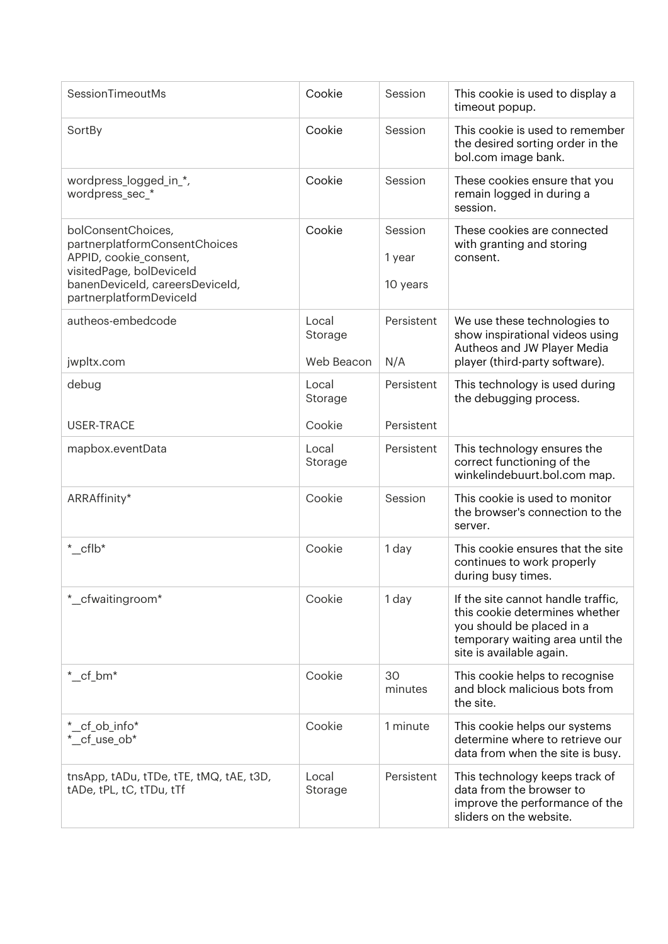| SessionTimeoutMs                                                                                                                                                        | Cookie                         | Session                       | This cookie is used to display a<br>timeout popup.                                                                                                                |
|-------------------------------------------------------------------------------------------------------------------------------------------------------------------------|--------------------------------|-------------------------------|-------------------------------------------------------------------------------------------------------------------------------------------------------------------|
| SortBy                                                                                                                                                                  | Cookie                         | Session                       | This cookie is used to remember<br>the desired sorting order in the<br>bol.com image bank.                                                                        |
| wordpress_logged_in_*,<br>wordpress_sec_*                                                                                                                               | Cookie                         | Session                       | These cookies ensure that you<br>remain logged in during a<br>session.                                                                                            |
| bolConsentChoices,<br>partnerplatformConsentChoices<br>APPID, cookie_consent,<br>visitedPage, bolDeviceId<br>banenDeviceId, careersDeviceId,<br>partnerplatformDeviceId | Cookie                         | Session<br>1 year<br>10 years | These cookies are connected<br>with granting and storing<br>consent.                                                                                              |
| autheos-embedcode<br>jwpltx.com                                                                                                                                         | Local<br>Storage<br>Web Beacon | Persistent<br>N/A             | We use these technologies to<br>show inspirational videos using<br>Autheos and JW Player Media<br>player (third-party software).                                  |
| debug                                                                                                                                                                   | Local<br>Storage               | Persistent                    | This technology is used during<br>the debugging process.                                                                                                          |
| <b>USER-TRACE</b>                                                                                                                                                       | Cookie                         | Persistent                    |                                                                                                                                                                   |
| mapbox.eventData                                                                                                                                                        | Local<br>Storage               | Persistent                    | This technology ensures the<br>correct functioning of the<br>winkelindebuurt.bol.com map.                                                                         |
| ARRAffinity*                                                                                                                                                            | Cookie                         | Session                       | This cookie is used to monitor<br>the browser's connection to the<br>server.                                                                                      |
| $^*$ _cflb*                                                                                                                                                             | Cookie                         | 1 day                         | This cookie ensures that the site<br>continues to work properly<br>during busy times.                                                                             |
| *_cfwaitingroom*                                                                                                                                                        | Cookie                         | 1 day                         | If the site cannot handle traffic,<br>this cookie determines whether<br>you should be placed in a<br>temporary waiting area until the<br>site is available again. |
| $^*$ _cf_bm*                                                                                                                                                            | Cookie                         | 30<br>minutes                 | This cookie helps to recognise<br>and block malicious bots from<br>the site.                                                                                      |
| *_cf_ob_info*<br>*_cf_use_ob*                                                                                                                                           | Cookie                         | 1 minute                      | This cookie helps our systems<br>determine where to retrieve our<br>data from when the site is busy.                                                              |
| tnsApp, tADu, tTDe, tTE, tMQ, tAE, t3D,<br>tADe, tPL, tC, tTDu, tTf                                                                                                     | Local<br>Storage               | Persistent                    | This technology keeps track of<br>data from the browser to<br>improve the performance of the<br>sliders on the website.                                           |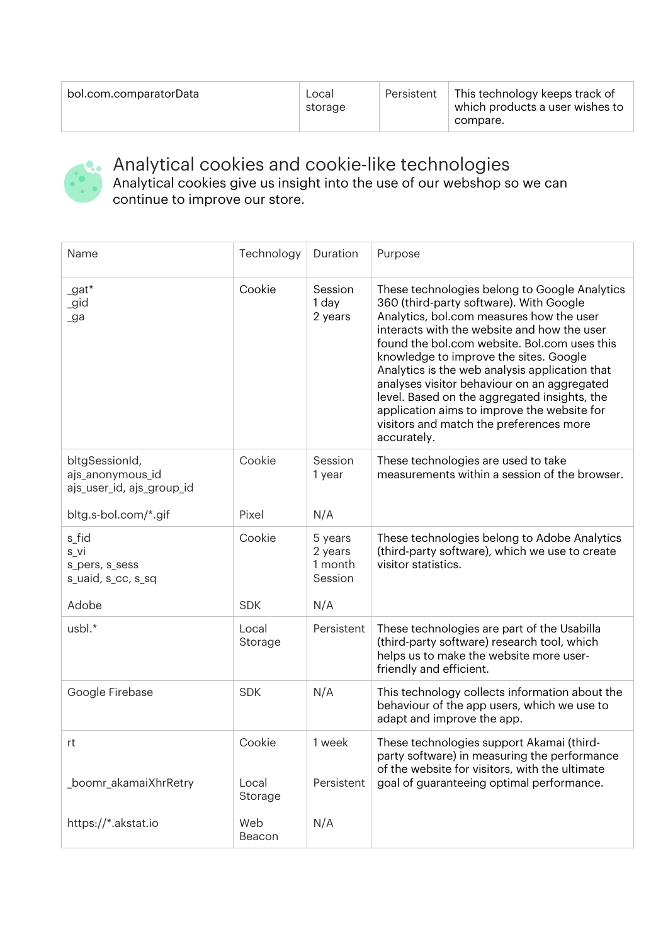| bol.com.comparatorData | Local<br>storage | Persistent | This technology keeps track of<br>which products a user wishes to<br>compare. |
|------------------------|------------------|------------|-------------------------------------------------------------------------------|
|------------------------|------------------|------------|-------------------------------------------------------------------------------|



Analytical cookies and cookie-like technologies Analytical cookies give us insight into the use of our webshop so we can

continue to improve our store.

| Name                                                            | Technology       | Duration                                 | Purpose                                                                                                                                                                                                                                                                                                                                                                                                                                                                                                                                 |
|-----------------------------------------------------------------|------------------|------------------------------------------|-----------------------------------------------------------------------------------------------------------------------------------------------------------------------------------------------------------------------------------------------------------------------------------------------------------------------------------------------------------------------------------------------------------------------------------------------------------------------------------------------------------------------------------------|
| $_9$ at*<br>_gid<br>$\lrcorner$ ga                              | Cookie           | Session<br>1 day<br>2 years              | These technologies belong to Google Analytics<br>360 (third-party software). With Google<br>Analytics, bol.com measures how the user<br>interacts with the website and how the user<br>found the bol.com website. Bol.com uses this<br>knowledge to improve the sites. Google<br>Analytics is the web analysis application that<br>analyses visitor behaviour on an aggregated<br>level. Based on the aggregated insights, the<br>application aims to improve the website for<br>visitors and match the preferences more<br>accurately. |
| bltgSessionId,<br>ajs_anonymous_id<br>ajs_user_id, ajs_group_id | Cookie           | Session<br>1 year                        | These technologies are used to take<br>measurements within a session of the browser.                                                                                                                                                                                                                                                                                                                                                                                                                                                    |
| bltg.s-bol.com/*.gif                                            | Pixel            | N/A                                      |                                                                                                                                                                                                                                                                                                                                                                                                                                                                                                                                         |
| s_fid<br>s_vi<br>s_pers, s_sess<br>s_uaid, s_cc, s_sq           | Cookie           | 5 years<br>2 years<br>1 month<br>Session | These technologies belong to Adobe Analytics<br>(third-party software), which we use to create<br>visitor statistics.                                                                                                                                                                                                                                                                                                                                                                                                                   |
| Adobe                                                           | <b>SDK</b>       | N/A                                      |                                                                                                                                                                                                                                                                                                                                                                                                                                                                                                                                         |
| usbl.*                                                          | Local<br>Storage | Persistent                               | These technologies are part of the Usabilla<br>(third-party software) research tool, which<br>helps us to make the website more user-<br>friendly and efficient.                                                                                                                                                                                                                                                                                                                                                                        |
| Google Firebase                                                 | <b>SDK</b>       | N/A                                      | This technology collects information about the<br>behaviour of the app users, which we use to<br>adapt and improve the app.                                                                                                                                                                                                                                                                                                                                                                                                             |
| rt                                                              | Cookie           | 1 week                                   | These technologies support Akamai (third-<br>party software) in measuring the performance<br>of the website for visitors, with the ultimate                                                                                                                                                                                                                                                                                                                                                                                             |
| _boomr_akamaiXhrRetry                                           | Local<br>Storage | Persistent                               | goal of guaranteeing optimal performance.                                                                                                                                                                                                                                                                                                                                                                                                                                                                                               |
| https://*.akstat.io                                             | Web<br>Beacon    | N/A                                      |                                                                                                                                                                                                                                                                                                                                                                                                                                                                                                                                         |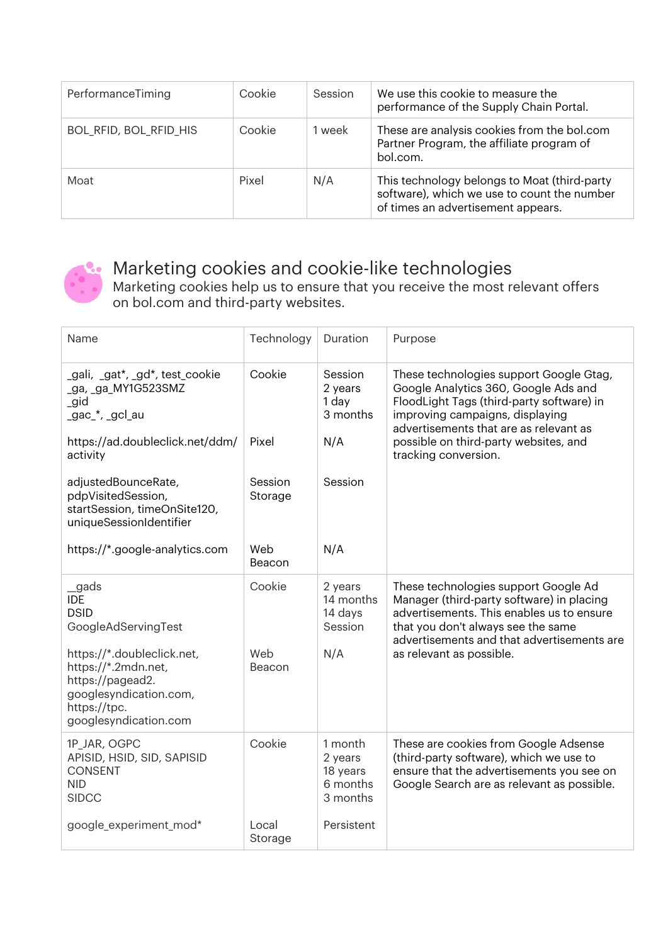| PerformanceTiming             | Cookie | Session | We use this cookie to measure the<br>performance of the Supply Chain Portal.                                                      |
|-------------------------------|--------|---------|-----------------------------------------------------------------------------------------------------------------------------------|
| <b>BOL_RFID, BOL_RFID_HIS</b> | Cookie | 1 week  | These are analysis cookies from the bol.com<br>Partner Program, the affiliate program of<br>bol.com.                              |
| Moat                          | Pixel  | N/A     | This technology belongs to Moat (third-party<br>software), which we use to count the number<br>of times an advertisement appears. |



## Marketing cookies and cookie-like technologies

Marketing cookies help us to ensure that you receive the most relevant offers on bol.com and third-party websites.

| Name                                                                                                                                     | Technology         | Duration                                               | Purpose                                                                                                                                                                                                            |
|------------------------------------------------------------------------------------------------------------------------------------------|--------------------|--------------------------------------------------------|--------------------------------------------------------------------------------------------------------------------------------------------------------------------------------------------------------------------|
| _gali, _gat*, _gd*, test_cookie<br>_ga, _ga_MY1G523SMZ<br>_gid<br>_gac_*, _gcl_au                                                        | Cookie             | Session<br>2 years<br>1 day<br>3 months                | These technologies support Google Gtag,<br>Google Analytics 360, Google Ads and<br>FloodLight Tags (third-party software) in<br>improving campaigns, displaying<br>advertisements that are as relevant as          |
| https://ad.doubleclick.net/ddm/<br>activity                                                                                              | Pixel              | N/A                                                    | possible on third-party websites, and<br>tracking conversion.                                                                                                                                                      |
| adjustedBounceRate,<br>pdpVisitedSession,<br>startSession, timeOnSite120,<br>uniqueSessionIdentifier                                     | Session<br>Storage | Session                                                |                                                                                                                                                                                                                    |
| https://*.google-analytics.com                                                                                                           | Web<br>Beacon      | N/A                                                    |                                                                                                                                                                                                                    |
| _gads<br><b>IDE</b><br><b>DSID</b><br>GoogleAdServingTest                                                                                | Cookie             | 2 years<br>14 months<br>14 days<br>Session             | These technologies support Google Ad<br>Manager (third-party software) in placing<br>advertisements. This enables us to ensure<br>that you don't always see the same<br>advertisements and that advertisements are |
| https://*.doubleclick.net,<br>https://*.2mdn.net,<br>https://pagead2.<br>googlesyndication.com,<br>https://tpc.<br>googlesyndication.com | Web<br>Beacon      | N/A                                                    | as relevant as possible.                                                                                                                                                                                           |
| 1P JAR, OGPC<br>APISID, HSID, SID, SAPISID<br><b>CONSENT</b><br><b>NID</b><br><b>SIDCC</b>                                               | Cookie             | 1 month<br>2 years<br>18 years<br>6 months<br>3 months | These are cookies from Google Adsense<br>(third-party software), which we use to<br>ensure that the advertisements you see on<br>Google Search are as relevant as possible.                                        |
| google_experiment_mod*                                                                                                                   | Local<br>Storage   | Persistent                                             |                                                                                                                                                                                                                    |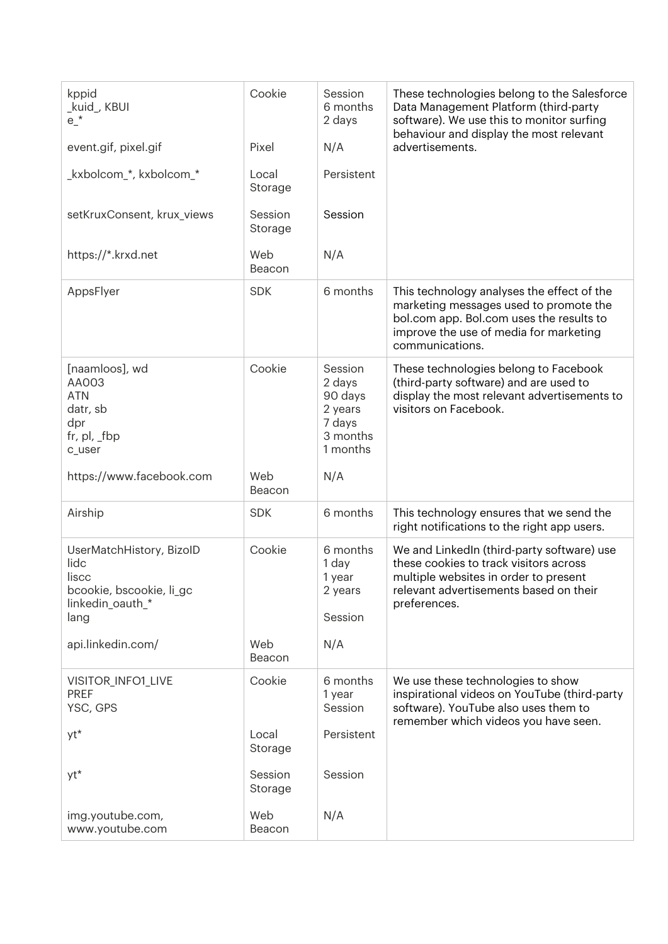| kppid<br>_kuid_, KBUI<br>$e^{\star}$                                                              | Cookie             | Session<br>6 months<br>2 days                                             | These technologies belong to the Salesforce<br>Data Management Platform (third-party<br>software). We use this to monitor surfing                                                             |
|---------------------------------------------------------------------------------------------------|--------------------|---------------------------------------------------------------------------|-----------------------------------------------------------------------------------------------------------------------------------------------------------------------------------------------|
| event.gif, pixel.gif                                                                              | Pixel              | N/A                                                                       | behaviour and display the most relevant<br>advertisements.                                                                                                                                    |
| _kxbolcom_*, kxbolcom_*                                                                           | Local<br>Storage   | Persistent                                                                |                                                                                                                                                                                               |
| setKruxConsent, krux_views                                                                        | Session<br>Storage | Session                                                                   |                                                                                                                                                                                               |
| https://*.krxd.net                                                                                | Web<br>Beacon      | N/A                                                                       |                                                                                                                                                                                               |
| AppsFlyer                                                                                         | <b>SDK</b>         | 6 months                                                                  | This technology analyses the effect of the<br>marketing messages used to promote the<br>bol.com app. Bol.com uses the results to<br>improve the use of media for marketing<br>communications. |
| [naamloos], wd<br>AA003<br><b>ATN</b><br>datr, sb<br>dpr<br>fr, $pl$ , $_fbp$<br>c_user           | Cookie             | Session<br>2 days<br>90 days<br>2 years<br>7 days<br>3 months<br>1 months | These technologies belong to Facebook<br>(third-party software) and are used to<br>display the most relevant advertisements to<br>visitors on Facebook.                                       |
| https://www.facebook.com                                                                          | Web<br>Beacon      | N/A                                                                       |                                                                                                                                                                                               |
| Airship                                                                                           | <b>SDK</b>         | 6 months                                                                  | This technology ensures that we send the<br>right notifications to the right app users.                                                                                                       |
| UserMatchHistory, BizoID<br>lidc<br>liscc<br>bcookie, bscookie, li_gc<br>linkedin_oauth_*<br>lang | Cookie             | 6 months<br>1 day<br>1 year<br>2 years<br>Session                         | We and LinkedIn (third-party software) use<br>these cookies to track visitors across<br>multiple websites in order to present<br>relevant advertisements based on their<br>preferences.       |
| api.linkedin.com/                                                                                 | Web<br>Beacon      | N/A                                                                       |                                                                                                                                                                                               |
| VISITOR_INFO1_LIVE<br><b>PREF</b><br>YSC, GPS                                                     | Cookie             | 6 months<br>1 year<br>Session                                             | We use these technologies to show<br>inspirational videos on YouTube (third-party<br>software). YouTube also uses them to<br>remember which videos you have seen.                             |
| yt*                                                                                               | Local<br>Storage   | Persistent                                                                |                                                                                                                                                                                               |
| yt*                                                                                               | Session<br>Storage | Session                                                                   |                                                                                                                                                                                               |
| img.youtube.com,<br>www.youtube.com                                                               | Web<br>Beacon      | N/A                                                                       |                                                                                                                                                                                               |